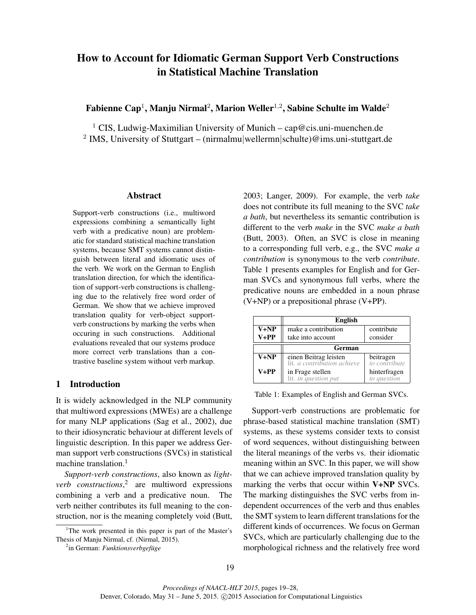# How to Account for Idiomatic German Support Verb Constructions in Statistical Machine Translation

Fabienne Cap $^1$ , Manju Nirmal $^2$ , Marion Weller $^{1,2}$ , Sabine Schulte im Walde $^2$ 

<sup>1</sup> CIS, Ludwig-Maximilian University of Munich – cap@cis.uni-muenchen.de <sup>2</sup> IMS, University of Stuttgart – (nirmalmu|wellermn|schulte)@ims.uni-stuttgart.de

#### Abstract

Support-verb constructions (i.e., multiword expressions combining a semantically light verb with a predicative noun) are problematic for standard statistical machine translation systems, because SMT systems cannot distinguish between literal and idiomatic uses of the verb. We work on the German to English translation direction, for which the identification of support-verb constructions is challenging due to the relatively free word order of German. We show that we achieve improved translation quality for verb-object supportverb constructions by marking the verbs when occuring in such constructions. Additional evaluations revealed that our systems produce more correct verb translations than a contrastive baseline system without verb markup.

# 1 Introduction

It is widely acknowledged in the NLP community that multiword expressions (MWEs) are a challenge for many NLP applications (Sag et al., 2002), due to their idiosyncratic behaviour at different levels of linguistic description. In this paper we address German support verb constructions (SVCs) in statistical machine translation. $<sup>1</sup>$ </sup>

*Support-verb constructions*, also known as *lightverb constructions*, 2 are multiword expressions combining a verb and a predicative noun. The verb neither contributes its full meaning to the construction, nor is the meaning completely void (Butt,

2003; Langer, 2009). For example, the verb *take* does not contribute its full meaning to the SVC *take a bath*, but nevertheless its semantic contribution is different to the verb *make* in the SVC *make a bath* (Butt, 2003). Often, an SVC is close in meaning to a corresponding full verb, e.g., the SVC *make a contribution* is synonymous to the verb *contribute*. Table 1 presents examples for English and for German SVCs and synonymous full verbs, where the predicative nouns are embedded in a noun phrase (V+NP) or a prepositional phrase (V+PP).

|          | <b>English</b>                                                          |                            |  |  |
|----------|-------------------------------------------------------------------------|----------------------------|--|--|
| $V + NP$ | make a contribution<br>contribute                                       |                            |  |  |
| $V+PP$   | consider<br>take into account                                           |                            |  |  |
|          | German                                                                  |                            |  |  |
| $V + NP$ | einen Beitrag leisten<br>lit. <i>a contribution achieve</i>             | beitragen<br>to contribute |  |  |
| $V+PP$   | hinterfragen<br>in Frage stellen<br>lit. in question put<br>to question |                            |  |  |

Table 1: Examples of English and German SVCs.

Support-verb constructions are problematic for phrase-based statistical machine translation (SMT) systems, as these systems consider texts to consist of word sequences, without distinguishing between the literal meanings of the verbs vs. their idiomatic meaning within an SVC. In this paper, we will show that we can achieve improved translation quality by marking the verbs that occur within V+NP SVCs. The marking distinguishes the SVC verbs from independent occurrences of the verb and thus enables the SMT system to learn different translations for the different kinds of occurrences. We focus on German SVCs, which are particularly challenging due to the morphological richness and the relatively free word

<sup>&</sup>lt;sup>1</sup>The work presented in this paper is part of the Master's Thesis of Manju Nirmal, cf. (Nirmal, 2015).

<sup>&</sup>lt;sup>2</sup>in German: *Funktionsverbgefüge*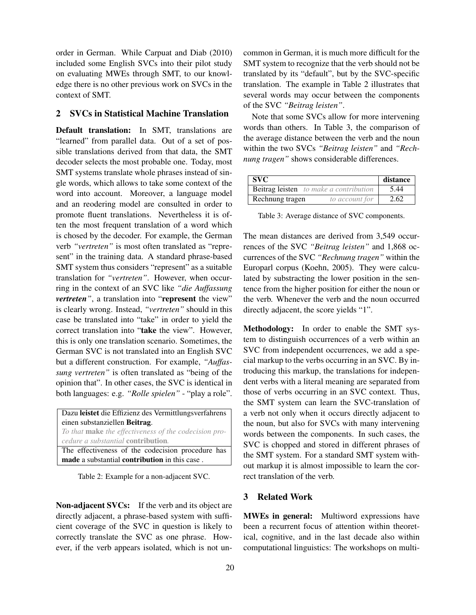order in German. While Carpuat and Diab (2010) included some English SVCs into their pilot study on evaluating MWEs through SMT, to our knowledge there is no other previous work on SVCs in the context of SMT.

# 2 SVCs in Statistical Machine Translation

Default translation: In SMT, translations are "learned" from parallel data. Out of a set of possible translations derived from that data, the SMT decoder selects the most probable one. Today, most SMT systems translate whole phrases instead of single words, which allows to take some context of the word into account. Moreover, a language model and an reodering model are consulted in order to promote fluent translations. Nevertheless it is often the most frequent translation of a word which is chosed by the decoder. For example, the German verb *"vertreten"* is most often translated as "represent" in the training data. A standard phrase-based SMT system thus considers "represent" as a suitable translation for *"vertreten"*. However, when occurring in the context of an SVC like *"die Auffassung vertreten*<sup>"</sup>, a translation into "represent the view" is clearly wrong. Instead, *"vertreten"* should in this case be translated into "take" in order to yield the correct translation into "take the view". However, this is only one translation scenario. Sometimes, the German SVC is not translated into an English SVC but a different construction. For example, *"Auffassung vertreten"* is often translated as "being of the opinion that". In other cases, the SVC is identical in both languages: e.g. *"Rolle spielen"* - "play a role".

Dazu leistet die Effizienz des Vermittlungsverfahrens einen substanziellen Beitrag. *To that* make *the effectiveness of the codecision procedure a substantial* contribution*.* The effectiveness of the codecision procedure has made a substantial contribution in this case .

Table 2: Example for a non-adjacent SVC.

Non-adjacent SVCs: If the verb and its object are directly adjacent, a phrase-based system with sufficient coverage of the SVC in question is likely to correctly translate the SVC as one phrase. However, if the verb appears isolated, which is not uncommon in German, it is much more difficult for the SMT system to recognize that the verb should not be translated by its "default", but by the SVC-specific translation. The example in Table 2 illustrates that several words may occur between the components of the SVC *"Beitrag leisten"*.

Note that some SVCs allow for more intervening words than others. In Table 3, the comparison of the average distance between the verb and the noun within the two SVCs *"Beitrag leisten"* and *"Rechnung tragen"* shows considerable differences.

| SVC                                           | distance |
|-----------------------------------------------|----------|
| <b>Beitrag leisten</b> to make a contribution | 5.44     |
| Rechnung tragen<br>to account for             | 2.62     |

Table 3: Average distance of SVC components.

The mean distances are derived from 3,549 occurrences of the SVC *"Beitrag leisten"* and 1,868 occurrences of the SVC *"Rechnung tragen"* within the Europarl corpus (Koehn, 2005). They were calculated by substracting the lower position in the sentence from the higher position for either the noun or the verb. Whenever the verb and the noun occurred directly adjacent, the score yields "1".

Methodology: In order to enable the SMT system to distinguish occurrences of a verb within an SVC from independent occurrences, we add a special markup to the verbs occurring in an SVC. By introducing this markup, the translations for independent verbs with a literal meaning are separated from those of verbs occurring in an SVC context. Thus, the SMT system can learn the SVC-translation of a verb not only when it occurs directly adjacent to the noun, but also for SVCs with many intervening words between the components. In such cases, the SVC is chopped and stored in different phrases of the SMT system. For a standard SMT system without markup it is almost impossible to learn the correct translation of the verb.

## 3 Related Work

MWEs in general: Multiword expressions have been a recurrent focus of attention within theoretical, cognitive, and in the last decade also within computational linguistics: The workshops on multi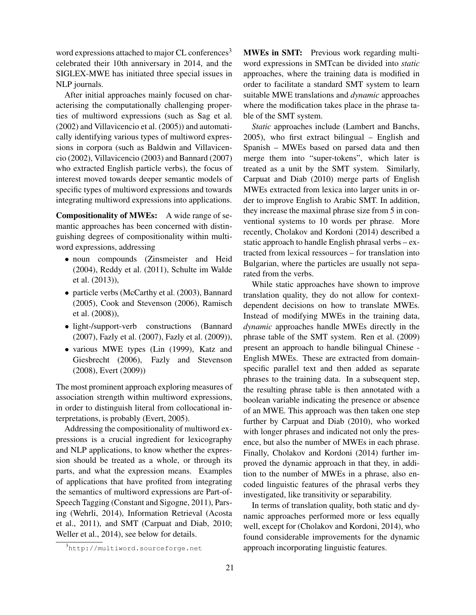word expressions attached to major CL conferences<sup>3</sup> celebrated their 10th anniversary in 2014, and the SIGLEX-MWE has initiated three special issues in NLP journals.

After initial approaches mainly focused on characterising the computationally challenging properties of multiword expressions (such as Sag et al. (2002) and Villavicencio et al. (2005)) and automatically identifying various types of multiword expressions in corpora (such as Baldwin and Villavicencio (2002), Villavicencio (2003) and Bannard (2007) who extracted English particle verbs), the focus of interest moved towards deeper semantic models of specific types of multiword expressions and towards integrating multiword expressions into applications.

Compositionality of MWEs: A wide range of semantic approaches has been concerned with distinguishing degrees of compositionality within multiword expressions, addressing

- noun compounds (Zinsmeister and Heid (2004), Reddy et al. (2011), Schulte im Walde et al. (2013)),
- particle verbs (McCarthy et al. (2003), Bannard (2005), Cook and Stevenson (2006), Ramisch et al. (2008)),
- light-/support-verb constructions (Bannard (2007), Fazly et al. (2007), Fazly et al. (2009)),
- various MWE types (Lin (1999), Katz and Giesbrecht (2006), Fazly and Stevenson (2008), Evert (2009))

The most prominent approach exploring measures of association strength within multiword expressions, in order to distinguish literal from collocational interpretations, is probably (Evert, 2005).

Addressing the compositionality of multiword expressions is a crucial ingredient for lexicography and NLP applications, to know whether the expression should be treated as a whole, or through its parts, and what the expression means. Examples of applications that have profited from integrating the semantics of multiword expressions are Part-of-Speech Tagging (Constant and Sigogne, 2011), Parsing (Wehrli, 2014), Information Retrieval (Acosta et al., 2011), and SMT (Carpuat and Diab, 2010; Weller et al., 2014), see below for details.

MWEs in SMT: Previous work regarding multiword expressions in SMTcan be divided into *static* approaches, where the training data is modified in order to facilitate a standard SMT system to learn suitable MWE translations and *dynamic* approaches where the modification takes place in the phrase table of the SMT system.

*Static* approaches include (Lambert and Banchs, 2005), who first extract bilingual – English and Spanish – MWEs based on parsed data and then merge them into "super-tokens", which later is treated as a unit by the SMT system. Similarly, Carpuat and Diab (2010) merge parts of English MWEs extracted from lexica into larger units in order to improve English to Arabic SMT. In addition, they increase the maximal phrase size from 5 in conventional systems to 10 words per phrase. More recently, Cholakov and Kordoni (2014) described a static approach to handle English phrasal verbs – extracted from lexical ressources – for translation into Bulgarian, where the particles are usually not separated from the verbs.

While static approaches have shown to improve translation quality, they do not allow for contextdependent decisions on how to translate MWEs. Instead of modifying MWEs in the training data, *dynamic* approaches handle MWEs directly in the phrase table of the SMT system. Ren et al. (2009) present an approach to handle bilingual Chinese - English MWEs. These are extracted from domainspecific parallel text and then added as separate phrases to the training data. In a subsequent step, the resulting phrase table is then annotated with a boolean variable indicating the presence or absence of an MWE. This approach was then taken one step further by Carpuat and Diab (2010), who worked with longer phrases and indicated not only the presence, but also the number of MWEs in each phrase. Finally, Cholakov and Kordoni (2014) further improved the dynamic approach in that they, in addition to the number of MWEs in a phrase, also encoded linguistic features of the phrasal verbs they investigated, like transitivity or separability.

In terms of translation quality, both static and dynamic approaches performed more or less equally well, except for (Cholakov and Kordoni, 2014), who found considerable improvements for the dynamic approach incorporating linguistic features.

<sup>3</sup>http://multiword.sourceforge.net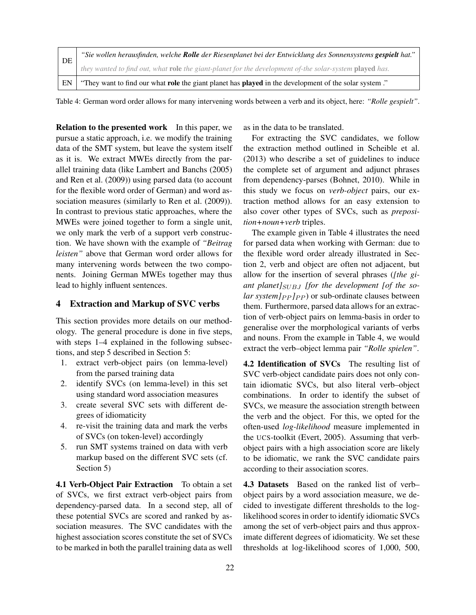|  | DE | "Sie wollen herausfinden, welche Rolle der Riesenplanet bei der Entwicklung des Sonnensystems gespielt hat."        |  |  |
|--|----|---------------------------------------------------------------------------------------------------------------------|--|--|
|  |    | they wanted to find out, what role the giant-planet for the development of-the solar-system played has.             |  |  |
|  | EN | "They want to find our what <b>role</b> the giant planet has <b>played</b> in the development of the solar system." |  |  |

Table 4: German word order allows for many intervening words between a verb and its object, here: *"Rolle gespielt"*.

Relation to the presented work In this paper, we pursue a static approach, i.e. we modify the training data of the SMT system, but leave the system itself as it is. We extract MWEs directly from the parallel training data (like Lambert and Banchs (2005) and Ren et al. (2009)) using parsed data (to account for the flexible word order of German) and word association measures (similarly to Ren et al. (2009)). In contrast to previous static approaches, where the MWEs were joined together to form a single unit, we only mark the verb of a support verb construction. We have shown with the example of *"Beitrag leisten"* above that German word order allows for many intervening words between the two components. Joining German MWEs together may thus lead to highly influent sentences.

#### 4 Extraction and Markup of SVC verbs

This section provides more details on our methodology. The general procedure is done in five steps, with steps  $1-4$  explained in the following subsections, and step 5 described in Section 5:

- 1. extract verb-object pairs (on lemma-level) from the parsed training data
- 2. identify SVCs (on lemma-level) in this set using standard word association measures
- 3. create several SVC sets with different degrees of idiomaticity
- 4. re-visit the training data and mark the verbs of SVCs (on token-level) accordingly
- 5. run SMT systems trained on data with verb markup based on the different SVC sets (cf. Section 5)

4.1 Verb-Object Pair Extraction To obtain a set of SVCs, we first extract verb-object pairs from dependency-parsed data. In a second step, all of these potential SVCs are scored and ranked by association measures. The SVC candidates with the highest association scores constitute the set of SVCs to be marked in both the parallel training data as well as in the data to be translated.

For extracting the SVC candidates, we follow the extraction method outlined in Scheible et al. (2013) who describe a set of guidelines to induce the complete set of argument and adjunct phrases from dependency-parses (Bohnet, 2010). While in this study we focus on *verb-object* pairs, our extraction method allows for an easy extension to also cover other types of SVCs, such as *preposition+noun+verb* triples.

The example given in Table 4 illustrates the need for parsed data when working with German: due to the flexible word order already illustrated in Section 2, verb and object are often not adjacent, but allow for the insertion of several phrases (*[the gi*ant planet]<sub>SUBJ</sub> [for the development [of the so $lar$  system $]_{PP}$   $]_{PP}$  or sub-ordinate clauses between them. Furthermore, parsed data allows for an extraction of verb-object pairs on lemma-basis in order to generalise over the morphological variants of verbs and nouns. From the example in Table 4, we would extract the verb–object lemma pair *"Rolle spielen"*.

4.2 Identification of SVCs The resulting list of SVC verb-object candidate pairs does not only contain idiomatic SVCs, but also literal verb–object combinations. In order to identify the subset of SVCs, we measure the association strength between the verb and the object. For this, we opted for the often-used *log-likelihood* measure implemented in the UCS-toolkit (Evert, 2005). Assuming that verbobject pairs with a high association score are likely to be idiomatic, we rank the SVC candidate pairs according to their association scores.

4.3 Datasets Based on the ranked list of verb– object pairs by a word association measure, we decided to investigate different thresholds to the loglikelihood scores in order to identify idiomatic SVCs among the set of verb-object pairs and thus approximate different degrees of idiomaticity. We set these thresholds at log-likelihood scores of 1,000, 500,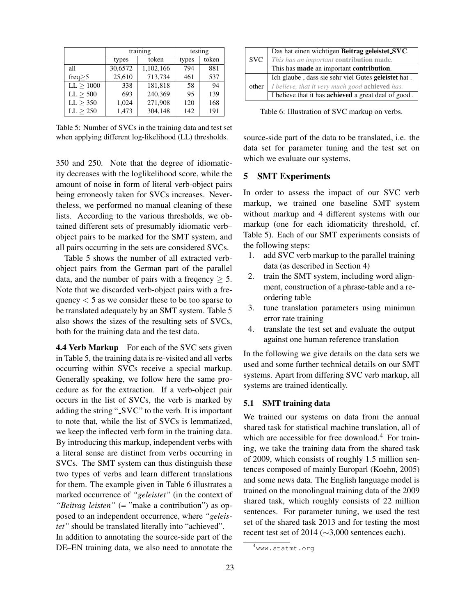|           | training |           | testing |       |
|-----------|----------|-----------|---------|-------|
|           | types    | token     | types   | token |
| all       | 30,6572  | 1,102,166 | 794     | 881   |
| freq $>5$ | 25,610   | 713,734   | 461     | 537   |
| LL > 1000 | 338      | 181,818   | 58      | 94    |
| LL > 500  | 693      | 240,369   | 95      | 139   |
| LL > 350  | 1,024    | 271,908   | 120     | 168   |
| LL > 250  | 1,473    | 304,148   | 142     | 191   |

Table 5: Number of SVCs in the training data and test set when applying different log-likelihood (LL) thresholds.

350 and 250. Note that the degree of idiomaticity decreases with the loglikelihood score, while the amount of noise in form of literal verb-object pairs being erroneosly taken for SVCs increases. Nevertheless, we performed no manual cleaning of these lists. According to the various thresholds, we obtained different sets of presumably idiomatic verb– object pairs to be marked for the SMT system, and all pairs occurring in the sets are considered SVCs.

Table 5 shows the number of all extracted verbobject pairs from the German part of the parallel data, and the number of pairs with a frequency  $\geq 5$ . Note that we discarded verb-object pairs with a frequency  $\lt$  5 as we consider these to be too sparse to be translated adequately by an SMT system. Table 5 also shows the sizes of the resulting sets of SVCs, both for the training data and the test data.

4.4 Verb Markup For each of the SVC sets given in Table 5, the training data is re-visited and all verbs occurring within SVCs receive a special markup. Generally speaking, we follow here the same procedure as for the extraction. If a verb-object pair occurs in the list of SVCs, the verb is marked by adding the string "\_SVC" to the verb. It is important to note that, while the list of SVCs is lemmatized, we keep the inflected verb form in the training data. By introducing this markup, independent verbs with a literal sense are distinct from verbs occurring in SVCs. The SMT system can thus distinguish these two types of verbs and learn different translations for them. The example given in Table 6 illustrates a marked occurrence of *"geleistet"* (in the context of *"Beitrag leisten"* (= "make a contribution") as opposed to an independent occurrence, where *"geleistet"* should be translated literally into "achieved".

In addition to annotating the source-side part of the DE–EN training data, we also need to annotate the



Table 6: Illustration of SVC markup on verbs.

source-side part of the data to be translated, i.e. the data set for parameter tuning and the test set on which we evaluate our systems.

#### 5 SMT Experiments

In order to assess the impact of our SVC verb markup, we trained one baseline SMT system without markup and 4 different systems with our markup (one for each idiomaticity threshold, cf. Table 5). Each of our SMT experiments consists of the following steps:

- 1. add SVC verb markup to the parallel training data (as described in Section 4)
- 2. train the SMT system, including word alignment, construction of a phrase-table and a reordering table
- 3. tune translation parameters using minimun error rate training
- 4. translate the test set and evaluate the output against one human reference translation

In the following we give details on the data sets we used and some further technical details on our SMT systems. Apart from differing SVC verb markup, all systems are trained identically.

## 5.1 SMT training data

We trained our systems on data from the annual shared task for statistical machine translation, all of which are accessible for free download.<sup>4</sup> For training, we take the training data from the shared task of 2009, which consists of roughly 1.5 million sentences composed of mainly Europarl (Koehn, 2005) and some news data. The English language model is trained on the monolingual training data of the 2009 shared task, which roughly consists of 22 million sentences. For parameter tuning, we used the test set of the shared task 2013 and for testing the most recent test set of 2014 (∼3,000 sentences each).

<sup>4</sup>www.statmt.org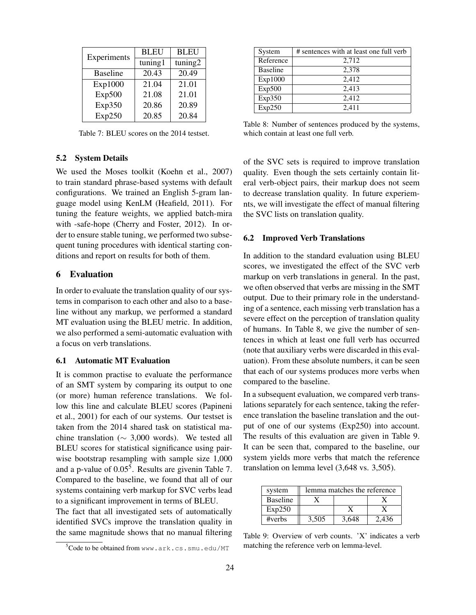| Experiments     | <b>BLEU</b> | <b>BLEU</b> |  |
|-----------------|-------------|-------------|--|
|                 | tuning1     | tuning2     |  |
| <b>Baseline</b> | 20.43       | 20.49       |  |
| Exp1000         | 21.04       | 21.01       |  |
| Exp500          | 21.08       | 21.01       |  |
| Exp350          | 20.86       | 20.89       |  |
| Exp250          | 20.85       | 20.84       |  |

Table 7: BLEU scores on the 2014 testset.

## 5.2 System Details

We used the Moses toolkit (Koehn et al., 2007) to train standard phrase-based systems with default configurations. We trained an English 5-gram language model using KenLM (Heafield, 2011). For tuning the feature weights, we applied batch-mira with -safe-hope (Cherry and Foster, 2012). In order to ensure stable tuning, we performed two subsequent tuning procedures with identical starting conditions and report on results for both of them.

## 6 Evaluation

In order to evaluate the translation quality of our systems in comparison to each other and also to a baseline without any markup, we performed a standard MT evaluation using the BLEU metric. In addition, we also performed a semi-automatic evaluation with a focus on verb translations.

#### 6.1 Automatic MT Evaluation

It is common practise to evaluate the performance of an SMT system by comparing its output to one (or more) human reference translations. We follow this line and calculate BLEU scores (Papineni et al., 2001) for each of our systems. Our testset is taken from the 2014 shared task on statistical machine translation ( $\sim$  3,000 words). We tested all BLEU scores for statistical significance using pairwise bootstrap resampling with sample size 1,000 and a p-value of  $0.05<sup>5</sup>$ . Results are givenin Table 7. Compared to the baseline, we found that all of our systems containing verb markup for SVC verbs lead to a significant improvement in terms of BLEU.

The fact that all investigated sets of automatically identified SVCs improve the translation quality in the same magnitude shows that no manual filtering

| System          | # sentences with at least one full verb |
|-----------------|-----------------------------------------|
| Reference       | 2,712                                   |
| <b>Baseline</b> | 2,378                                   |
| Exp1000         | 2,412                                   |
| Exp500          | 2,413                                   |
| Exp350          | 2,412                                   |
| Exp250          | 2,411                                   |

Table 8: Number of sentences produced by the systems, which contain at least one full verb.

of the SVC sets is required to improve translation quality. Even though the sets certainly contain literal verb-object pairs, their markup does not seem to decrease translation quality. In future experiemnts, we will investigate the effect of manual filtering the SVC lists on translation quality.

#### 6.2 Improved Verb Translations

In addition to the standard evaluation using BLEU scores, we investigated the effect of the SVC verb markup on verb translations in general. In the past, we often observed that verbs are missing in the SMT output. Due to their primary role in the understanding of a sentence, each missing verb translation has a severe effect on the perception of translation quality of humans. In Table 8, we give the number of sentences in which at least one full verb has occurred (note that auxiliary verbs were discarded in this evaluation). From these absolute numbers, it can be seen that each of our systems produces more verbs when compared to the baseline.

In a subsequent evaluation, we compared verb translations separately for each sentence, taking the reference translation the baseline translation and the output of one of our systems (Exp250) into account. The results of this evaluation are given in Table 9. It can be seen that, compared to the baseline, our system yields more verbs that match the reference translation on lemma level (3,648 vs. 3,505).

| system          | lemma matches the reference |       |       |  |
|-----------------|-----------------------------|-------|-------|--|
| <b>Baseline</b> |                             |       |       |  |
| Exp250          |                             |       |       |  |
| #verbs          | 3.505                       | 3.648 | 2.436 |  |

Table 9: Overview of verb counts. 'X' indicates a verb matching the reference verb on lemma-level.

 $5C$ ode to be obtained from www.ark.cs.smu.edu/MT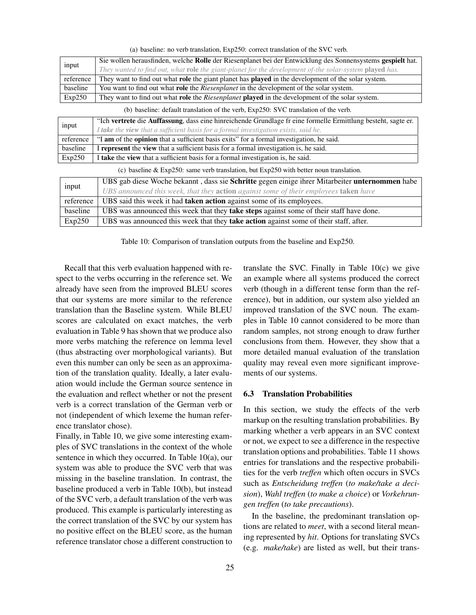| input     | Sie wollen herausfinden, welche Rolle der Riesenplanet bei der Entwicklung des Sonnensystems gespielt hat.    |  |  |  |  |
|-----------|---------------------------------------------------------------------------------------------------------------|--|--|--|--|
|           | They wanted to find out, what role the giant-planet for the development of-the solar-system played has.       |  |  |  |  |
| reference | They want to find out what role the giant planet has played in the development of the solar system.           |  |  |  |  |
| baseline  | You want to find out what <b>role</b> the <i>Riesenplanet</i> in the development of the solar system.         |  |  |  |  |
| Exp250    | They want to find out what role the Riesenplanet played in the development of the solar system.               |  |  |  |  |
|           | (b) baseline: default translation of the verb, Exp250: SVC translation of the verb.                           |  |  |  |  |
|           | "Ich vertrete die Auffassung, dass eine hinreichende Grundlage fr eine formelle Ermittlung besteht, sagte er. |  |  |  |  |
| input     | I take the view that a sufficient basis for a formal investigation exists, said he.                           |  |  |  |  |
| reference | "I am of the opinion that a sufficient basis exits" for a formal investigation, he said.                      |  |  |  |  |
| baseline  | I represent the view that a sufficient basis for a formal investigation is, he said.                          |  |  |  |  |
| Exp250    | I take the view that a sufficient basis for a formal investigation is, he said.                               |  |  |  |  |
|           | (c) baseline $\&$ Exp250: same verb translation, but Exp250 with better noun translation.                     |  |  |  |  |
| input     | UBS gab diese Woche bekannt, dass sie Schritte gegen einige ihrer Mitarbeiter unternommen habe                |  |  |  |  |
|           | UBS announced this week, that they action against some of their employees taken have                          |  |  |  |  |
| reference | UBS said this week it had taken action against some of its employees.                                         |  |  |  |  |
| baseline  | UBS was announced this week that they take steps against some of their staff have done.                       |  |  |  |  |
| Exp250    | UBS was announced this week that they take action against some of their staff, after.                         |  |  |  |  |

(a) baseline: no verb translation, Exp250: correct translation of the SVC verb.

Table 10: Comparison of translation outputs from the baseline and Exp250.

Recall that this verb evaluation happened with respect to the verbs occurring in the reference set. We already have seen from the improved BLEU scores that our systems are more similar to the reference translation than the Baseline system. While BLEU scores are calculated on exact matches, the verb evaluation in Table 9 has shown that we produce also more verbs matching the reference on lemma level (thus abstracting over morphological variants). But even this number can only be seen as an approximation of the translation quality. Ideally, a later evaluation would include the German source sentence in the evaluation and reflect whether or not the present verb is a correct translation of the German verb or not (independent of which lexeme the human reference translator chose).

Finally, in Table 10, we give some interesting examples of SVC translations in the context of the whole sentence in which they occurred. In Table 10(a), our system was able to produce the SVC verb that was missing in the baseline translation. In contrast, the baseline produced a verb in Table 10(b), but instead of the SVC verb, a default translation of the verb was produced. This example is particularly interesting as the correct translation of the SVC by our system has no positive effect on the BLEU score, as the human reference translator chose a different construction to translate the SVC. Finally in Table 10(c) we give an example where all systems produced the correct verb (though in a different tense form than the reference), but in addition, our system also yielded an improved translation of the SVC noun. The examples in Table 10 cannot considered to be more than random samples, not strong enough to draw further conclusions from them. However, they show that a more detailed manual evaluation of the translation quality may reveal even more significant improvements of our systems.

#### 6.3 Translation Probabilities

In this section, we study the effects of the verb markup on the resulting translation probabilities. By marking whether a verb appears in an SVC context or not, we expect to see a difference in the respective translation options and probabilities. Table 11 shows entries for translations and the respective probabilities for the verb *treffen* which often occurs in SVCs such as *Entscheidung treffen* (*to make/take a decision*), *Wahl treffen* (*to make a choice*) or *Vorkehrungen treffen* (*to take precautions*).

In the baseline, the predominant translation options are related to *meet*, with a second literal meaning represented by *hit*. Options for translating SVCs (e.g. *make/take*) are listed as well, but their trans-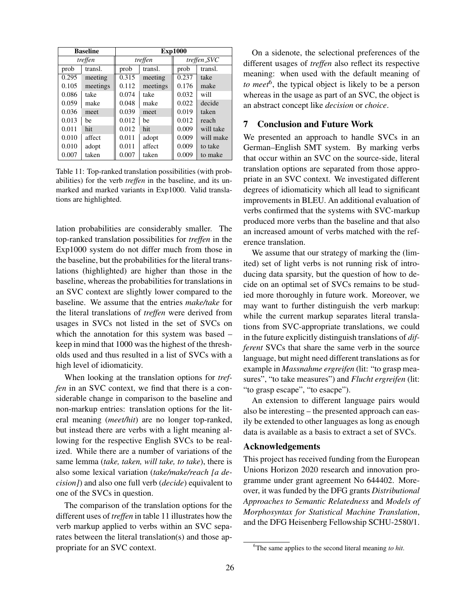| <b>Baseline</b> |          | <b>Exp1000</b> |          |             |           |
|-----------------|----------|----------------|----------|-------------|-----------|
| treffen         |          | treffen        |          | treffen_SVC |           |
| prob            | transl.  | prob           | transl.  | prob        | transl.   |
| 0.295           | meeting  | 0.315          | meeting  | 0.237       | take      |
| 0.105           | meetings | 0.112          | meetings | 0.176       | make      |
| 0.086           | take     | 0.074          | take     | 0.032       | will      |
| 0.059           | make     | 0.048          | make     | 0.022       | decide    |
| 0.036           | meet     | 0.039          | meet     | 0.019       | taken     |
| 0.013           | he       | 0.012          | he       | 0.012       | reach     |
| 0.011           | hit      | 0.012          | hit      | 0.009       | will take |
| 0.010           | affect   | 0.011          | adopt    | 0.009       | will make |
| 0.010           | adopt    | 0.011          | affect   | 0.009       | to take   |
| 0.007           | taken    | 0.007          | taken    | 0.009       | to make   |

Table 11: Top-ranked translation possibilities (with probabilities) for the verb *treffen* in the baseline, and its unmarked and marked variants in Exp1000. Valid translations are highlighted.

lation probabilities are considerably smaller. The top-ranked translation possibilities for *treffen* in the Exp1000 system do not differ much from those in the baseline, but the probabilities for the literal translations (highlighted) are higher than those in the baseline, whereas the probabilities for translations in an SVC context are slightly lower compared to the baseline. We assume that the entries *make/take* for the literal translations of *treffen* were derived from usages in SVCs not listed in the set of SVCs on which the annotation for this system was based – keep in mind that 1000 was the highest of the thresholds used and thus resulted in a list of SVCs with a high level of idiomaticity.

When looking at the translation options for *treffen* in an SVC context, we find that there is a considerable change in comparison to the baseline and non-markup entries: translation options for the literal meaning (*meet/hit*) are no longer top-ranked, but instead there are verbs with a light meaning allowing for the respective English SVCs to be realized. While there are a number of variations of the same lemma (*take, taken, will take, to take*), there is also some lexical variation (*take/make/reach [a decision]*) and also one full verb (*decide*) equivalent to one of the SVCs in question.

The comparison of the translation options for the different uses of *treffen* in table 11 illustrates how the verb markup applied to verbs within an SVC separates between the literal translation(s) and those appropriate for an SVC context.

On a sidenote, the selectional preferences of the different usages of *treffen* also reflect its respective meaning: when used with the default meaning of *to meet*<sup>6</sup> , the typical object is likely to be a person whereas in the usage as part of an SVC, the object is an abstract concept like *decision* or *choice*.

## 7 Conclusion and Future Work

We presented an approach to handle SVCs in an German–English SMT system. By marking verbs that occur within an SVC on the source-side, literal translation options are separated from those appropriate in an SVC context. We investigated different degrees of idiomaticity which all lead to significant improvements in BLEU. An additional evaluation of verbs confirmed that the systems with SVC-markup produced more verbs than the baseline and that also an increased amount of verbs matched with the reference translation.

We assume that our strategy of marking the (limited) set of light verbs is not running risk of introducing data sparsity, but the question of how to decide on an optimal set of SVCs remains to be studied more thoroughly in future work. Moreover, we may want to further distinguish the verb markup: while the current markup separates literal translations from SVC-appropriate translations, we could in the future explicitly distinguish translations of *different* SVCs that share the same verb in the source language, but might need different translations as for example in *Massnahme ergreifen* (lit: "to grasp measures", "to take measures") and *Flucht ergreifen* (lit: "to grasp escape", "to esacpe").

An extension to different language pairs would also be interesting – the presented approach can easily be extended to other languages as long as enough data is available as a basis to extract a set of SVCs.

#### Acknowledgements

This project has received funding from the European Unions Horizon 2020 research and innovation programme under grant agreement No 644402. Moreover, it was funded by the DFG grants *Distributional Approaches to Semantic Relatedness* and *Models of Morphosyntax for Statistical Machine Translation*, and the DFG Heisenberg Fellowship SCHU-2580/1.

<sup>6</sup>The same applies to the second literal meaning *to hit*.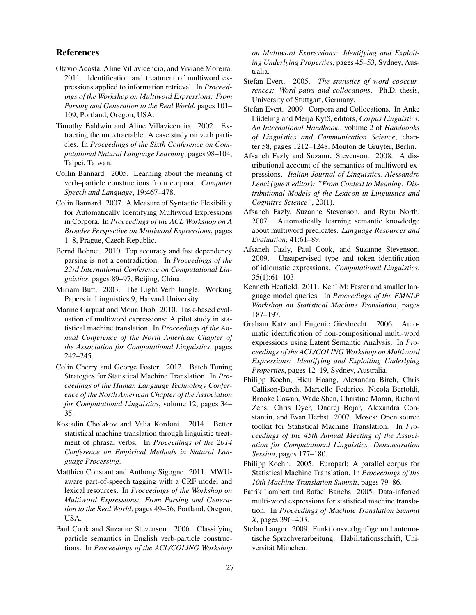#### References

- Otavio Acosta, Aline Villavicencio, and Viviane Moreira. 2011. Identification and treatment of multiword expressions applied to information retrieval. In *Proceedings of the Workshop on Multiword Expressions: From Parsing and Generation to the Real World*, pages 101– 109, Portland, Oregon, USA.
- Timothy Baldwin and Aline Villavicencio. 2002. Extracting the unextractable: A case study on verb particles. In *Proceedings of the Sixth Conference on Computational Natural Language Learning*, pages 98–104, Taipei, Taiwan.
- Collin Bannard. 2005. Learning about the meaning of verb–particle constructions from corpora. *Computer Speech and Language*, 19:467–478.
- Colin Bannard. 2007. A Measure of Syntactic Flexibility for Automatically Identifying Multiword Expressions in Corpora. In *Proceedings of the ACL Workshop on A Broader Perspective on Multiword Expressions*, pages 1–8, Prague, Czech Republic.
- Bernd Bohnet. 2010. Top accuracy and fast dependency parsing is not a contradiction. In *Proceedings of the 23rd International Conference on Computational Linguistics*, pages 89–97, Beijing, China.
- Miriam Butt. 2003. The Light Verb Jungle. Working Papers in Linguistics 9, Harvard University.
- Marine Carpuat and Mona Diab. 2010. Task-based evaluation of multiword expressions: A pilot study in statistical machine translation. In *Proceedings of the Annual Conference of the North American Chapter of the Association for Computational Linguistics*, pages 242–245.
- Colin Cherry and George Foster. 2012. Batch Tuning Strategies for Statistical Machine Translation. In *Proceedings of the Human Language Technology Conference of the North American Chapter of the Association for Computational Linguistics*, volume 12, pages 34– 35.
- Kostadin Cholakov and Valia Kordoni. 2014. Better statistical machine translation through linguistic treatment of phrasal verbs. In *Proceedings of the 2014 Conference on Empirical Methods in Natural Language Processing*.
- Matthieu Constant and Anthony Sigogne. 2011. MWUaware part-of-speech tagging with a CRF model and lexical resources. In *Proceedings of the Workshop on Multiword Expressions: From Parsing and Generation to the Real World*, pages 49–56, Portland, Oregon, USA.
- Paul Cook and Suzanne Stevenson. 2006. Classifying particle semantics in English verb-particle constructions. In *Proceedings of the ACL/COLING Workshop*

*on Multiword Expressions: Identifying and Exploiting Underlying Properties*, pages 45–53, Sydney, Australia.

- Stefan Evert. 2005. *The statistics of word cooccurrences: Word pairs and collocations*. Ph.D. thesis, University of Stuttgart, Germany.
- Stefan Evert. 2009. Corpora and Collocations. In Anke Lüdeling and Merja Kytö, editors, *Corpus Linguistics*. *An International Handbook.*, volume 2 of *Handbooks of Linguistics and Communication Science*, chapter 58, pages 1212–1248. Mouton de Gruyter, Berlin.
- Afsaneh Fazly and Suzanne Stevenson. 2008. A distributional account of the semantics of multiword expressions. *Italian Journal of Linguistics. Alessandro Lenci (guest editor): "From Context to Meaning: Distributional Models of the Lexicon in Linguistics and Cognitive Science"*, 20(1).
- Afsaneh Fazly, Suzanne Stevenson, and Ryan North. 2007. Automatically learning semantic knowledge about multiword predicates. *Language Resources and Evaluation*, 41:61–89.
- Afsaneh Fazly, Paul Cook, and Suzanne Stevenson. 2009. Unsupervised type and token identification of idiomatic expressions. *Computational Linguistics*, 35(1):61–103.
- Kenneth Heafield. 2011. KenLM: Faster and smaller language model queries. In *Proceedings of the EMNLP Workshop on Statistical Machine Translation*, pages 187–197.
- Graham Katz and Eugenie Giesbrecht. 2006. Automatic identification of non-compositional multi-word expressions using Latent Semantic Analysis. In *Proceedings of the ACL/COLING Workshop on Multiword Expressions: Identifying and Exploiting Underlying Properties*, pages 12–19, Sydney, Australia.
- Philipp Koehn, Hieu Hoang, Alexandra Birch, Chris Callison-Burch, Marcello Federico, Nicola Bertoldi, Brooke Cowan, Wade Shen, Christine Moran, Richard Zens, Chris Dyer, Ondrej Bojar, Alexandra Constantin, and Evan Herbst. 2007. Moses: Open source toolkit for Statistical Machine Translation. In *Proceedings of the 45th Annual Meeting of the Association for Computational Linguistics, Demonstration Session*, pages 177–180.
- Philipp Koehn. 2005. Europarl: A parallel corpus for Statistical Machine Translation. In *Proceedings of the 10th Machine Translation Summit*, pages 79–86.
- Patrik Lambert and Rafael Banchs. 2005. Data-inferred multi-word expressions for statistical machine translation. In *Proceedings of Machine Translation Summit X*, pages 396–403.
- Stefan Langer. 2009. Funktionsverbgefüge und automatische Sprachverarbeitung. Habilitationsschrift, Universität München.